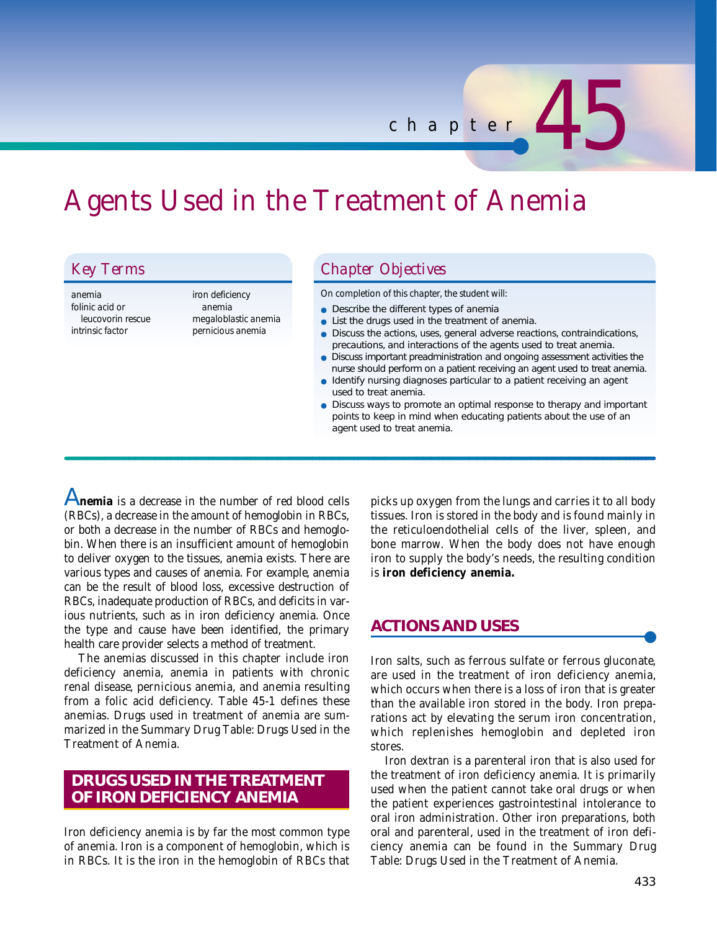# *chapter*

# Agents Used in the Treatment of Anemia

*anemia folinic acid or leucovorin rescue intrinsic factor*

*iron deficiency anemia megaloblastic anemia pernicious anemia*

## *Key Terms Chapter Objectives*

*On completion of this chapter, the student will:*

- Describe the different types of anemia
- List the drugs used in the treatment of anemia.
- Discuss the actions, uses, general adverse reactions, contraindications, precautions, and interactions of the agents used to treat anemia.
- Discuss important preadministration and ongoing assessment activities the nurse should perform on a patient receiving an agent used to treat anemia.
- Identify nursing diagnoses particular to a patient receiving an agent used to treat anemia.
- Discuss ways to promote an optimal response to therapy and important points to keep in mind when educating patients about the use of an agent used to treat anemia.

A**nemia** is a decrease in the number of red blood cells (RBCs), a decrease in the amount of hemoglobin in RBCs, or both a decrease in the number of RBCs and hemoglobin. When there is an insufficient amount of hemoglobin to deliver oxygen to the tissues, anemia exists. There are various types and causes of anemia. For example, anemia can be the result of blood loss, excessive destruction of RBCs, inadequate production of RBCs, and deficits in various nutrients, such as in iron deficiency anemia. Once the type and cause have been identified, the primary health care provider selects a method of treatment.

The anemias discussed in this chapter include iron deficiency anemia, anemia in patients with chronic renal disease, pernicious anemia, and anemia resulting from a folic acid deficiency. Table 45-1 defines these anemias. Drugs used in treatment of anemia are summarized in the Summary Drug Table: Drugs Used in the Treatment of Anemia.

## **DRUGS USED IN THE TREATMENT OF IRON DEFICIENCY ANEMIA**

Iron deficiency anemia is by far the most common type of anemia. Iron is a component of hemoglobin, which is in RBCs. It is the iron in the hemoglobin of RBCs that

picks up oxygen from the lungs and carries it to all body tissues. Iron is stored in the body and is found mainly in the reticuloendothelial cells of the liver, spleen, and bone marrow. When the body does not have enough iron to supply the body's needs, the resulting condition is **iron deficiency anemia.**

## **ACTIONS AND USES**

Iron salts, such as ferrous sulfate or ferrous gluconate, are used in the treatment of iron deficiency anemia, which occurs when there is a loss of iron that is greater than the available iron stored in the body. Iron preparations act by elevating the serum iron concentration, which replenishes hemoglobin and depleted iron stores.

Iron dextran is a parenteral iron that is also used for the treatment of iron deficiency anemia. It is primarily used when the patient cannot take oral drugs or when the patient experiences gastrointestinal intolerance to oral iron administration. Other iron preparations, both oral and parenteral, used in the treatment of iron deficiency anemia can be found in the Summary Drug Table: Drugs Used in the Treatment of Anemia.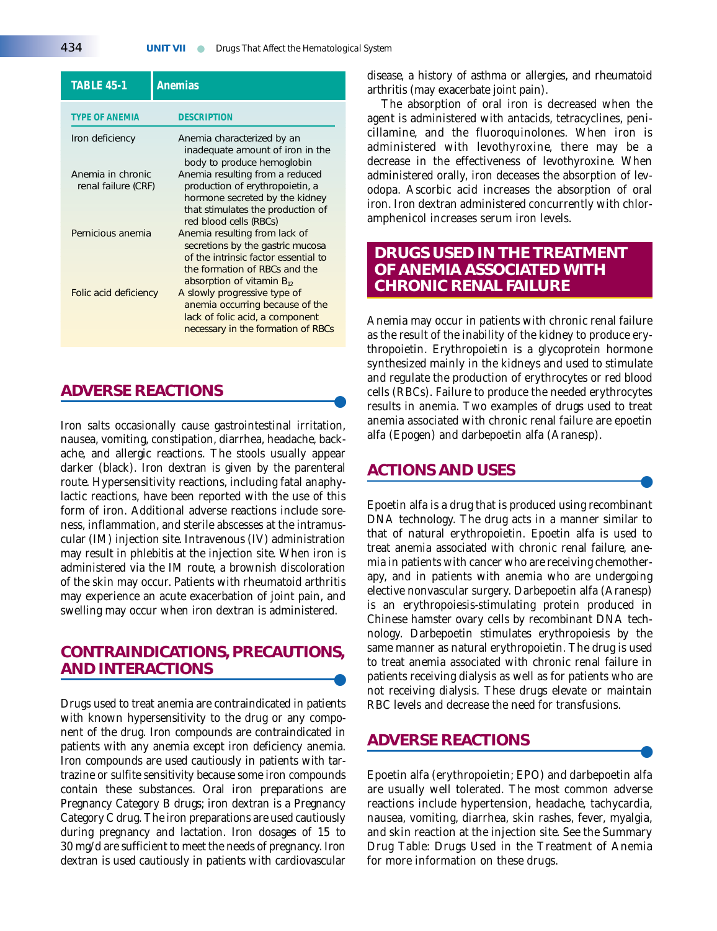| <b>TABLE 45-1</b>                        | <b>Anemias</b>                                                                                                                                                               |
|------------------------------------------|------------------------------------------------------------------------------------------------------------------------------------------------------------------------------|
| <b>TYPE OF ANEMIA</b>                    | <b>DESCRIPTION</b>                                                                                                                                                           |
| Iron deficiency                          | Anemia characterized by an<br>inadequate amount of iron in the<br>body to produce hemoglobin                                                                                 |
| Anemia in chronic<br>renal failure (CRF) | Anemia resulting from a reduced<br>production of erythropoietin, a<br>hormone secreted by the kidney<br>that stimulates the production of<br>red blood cells (RBCs)          |
| Pernicious anemia                        | Anemia resulting from lack of<br>secretions by the gastric mucosa<br>of the intrinsic factor essential to<br>the formation of RBCs and the<br>absorption of vitamin $B_{12}$ |
| Folic acid deficiency                    | A slowly progressive type of<br>anemia occurring because of the<br>lack of folic acid, a component<br>necessary in the formation of RBCs                                     |

## **ADVERSE REACTIONS** ●

Iron salts occasionally cause gastrointestinal irritation, nausea, vomiting, constipation, diarrhea, headache, backache, and allergic reactions. The stools usually appear darker (black). Iron dextran is given by the parenteral route. Hypersensitivity reactions, including fatal anaphylactic reactions, have been reported with the use of this form of iron. Additional adverse reactions include soreness, inflammation, and sterile abscesses at the intramuscular (IM) injection site. Intravenous (IV) administration may result in phlebitis at the injection site. When iron is administered via the IM route, a brownish discoloration of the skin may occur. Patients with rheumatoid arthritis may experience an acute exacerbation of joint pain, and swelling may occur when iron dextran is administered.

## **CONTRAINDICATIONS, PRECAUTIONS, AND INTERACTIONS**

Drugs used to treat anemia are contraindicated in patients with known hypersensitivity to the drug or any component of the drug. Iron compounds are contraindicated in patients with any anemia except iron deficiency anemia. Iron compounds are used cautiously in patients with tartrazine or sulfite sensitivity because some iron compounds contain these substances. Oral iron preparations are Pregnancy Category B drugs; iron dextran is a Pregnancy Category C drug. The iron preparations are used cautiously during pregnancy and lactation. Iron dosages of 15 to 30 mg/d are sufficient to meet the needs of pregnancy. Iron dextran is used cautiously in patients with cardiovascular

disease, a history of asthma or allergies, and rheumatoid arthritis (may exacerbate joint pain).

The absorption of oral iron is decreased when the agent is administered with antacids, tetracyclines, penicillamine, and the fluoroquinolones. When iron is administered with levothyroxine, there may be a decrease in the effectiveness of levothyroxine. When administered orally, iron deceases the absorption of levodopa. Ascorbic acid increases the absorption of oral iron. Iron dextran administered concurrently with chloramphenicol increases serum iron levels.

## **DRUGS USED IN THE TREATMENT OF ANEMIA ASSOCIATED WITH CHRONIC RENAL FAILURE**

Anemia may occur in patients with chronic renal failure as the result of the inability of the kidney to produce erythropoietin. Erythropoietin is a glycoprotein hormone synthesized mainly in the kidneys and used to stimulate and regulate the production of erythrocytes or red blood cells (RBCs). Failure to produce the needed erythrocytes results in anemia. Two examples of drugs used to treat anemia associated with chronic renal failure are epoetin alfa (Epogen) and darbepoetin alfa (Aranesp).

## **ACTIONS AND USES**

Epoetin alfa is a drug that is produced using recombinant DNA technology. The drug acts in a manner similar to that of natural erythropoietin. Epoetin alfa is used to treat anemia associated with chronic renal failure, anemia in patients with cancer who are receiving chemotherapy, and in patients with anemia who are undergoing elective nonvascular surgery. Darbepoetin alfa (Aranesp) is an erythropoiesis-stimulating protein produced in Chinese hamster ovary cells by recombinant DNA technology. Darbepoetin stimulates erythropoiesis by the same manner as natural erythropoietin. The drug is used to treat anemia associated with chronic renal failure in patients receiving dialysis as well as for patients who are not receiving dialysis. These drugs elevate or maintain RBC levels and decrease the need for transfusions.

## **ADVERSE REACTIONS**

Epoetin alfa (erythropoietin; EPO) and darbepoetin alfa are usually well tolerated. The most common adverse reactions include hypertension, headache, tachycardia, nausea, vomiting, diarrhea, skin rashes, fever, myalgia, and skin reaction at the injection site. See the Summary Drug Table: Drugs Used in the Treatment of Anemia for more information on these drugs.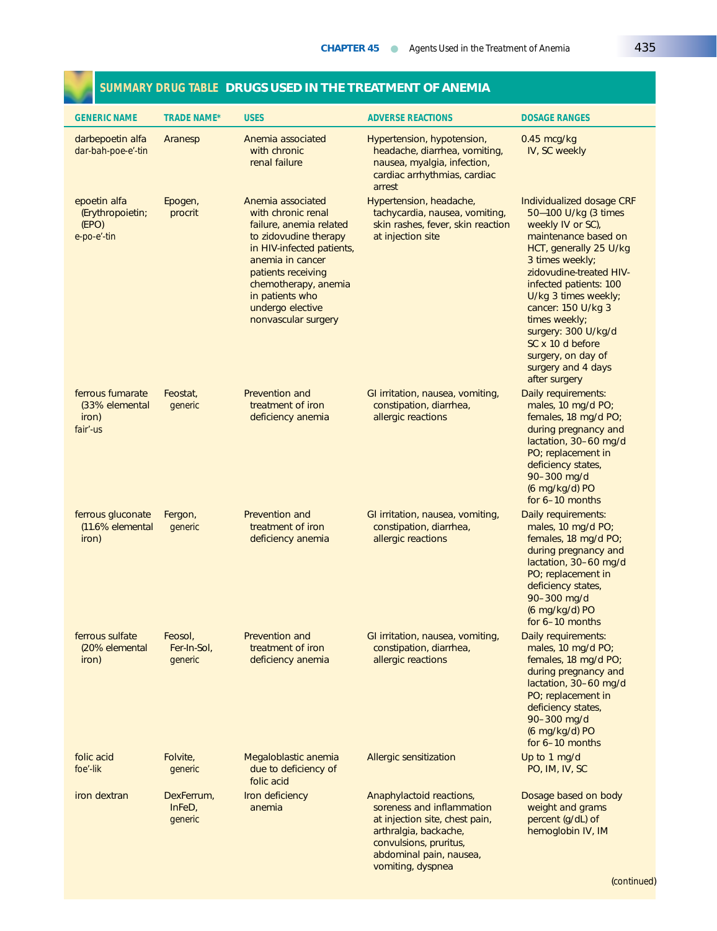|                                                          |                                   | <b>SUIVIIVIART DRUG IADLE DRUGS USED IN THE TREATIVIENT OF ANEIVIIA</b>                                                                                                                                                                                  |                                                                                                                                                                       |                                                                                                                                                                                                                                                                                                                                                                         |
|----------------------------------------------------------|-----------------------------------|----------------------------------------------------------------------------------------------------------------------------------------------------------------------------------------------------------------------------------------------------------|-----------------------------------------------------------------------------------------------------------------------------------------------------------------------|-------------------------------------------------------------------------------------------------------------------------------------------------------------------------------------------------------------------------------------------------------------------------------------------------------------------------------------------------------------------------|
| <b>GENERIC NAME</b>                                      | <b>TRADE NAME*</b>                | <b>USES</b>                                                                                                                                                                                                                                              | <b>ADVERSE REACTIONS</b>                                                                                                                                              | <b>DOSAGE RANGES</b>                                                                                                                                                                                                                                                                                                                                                    |
| darbepoetin alfa<br>dar-bah-poe-e'-tin                   | Aranesp                           | Anemia associated<br>with chronic<br>renal failure                                                                                                                                                                                                       | Hypertension, hypotension,<br>headache, diarrhea, vomiting,<br>nausea, myalgia, infection,<br>cardiac arrhythmias, cardiac<br>arrest                                  | $0.45 \text{ mcg/kg}$<br>IV, SC weekly                                                                                                                                                                                                                                                                                                                                  |
| epoetin alfa<br>(Erythropoietin;<br>(EPO)<br>e-po-e'-tin | Epogen,<br>procrit                | Anemia associated<br>with chronic renal<br>failure, anemia related<br>to zidovudine therapy<br>in HIV-infected patients,<br>anemia in cancer<br>patients receiving<br>chemotherapy, anemia<br>in patients who<br>undergo elective<br>nonvascular surgery | Hypertension, headache,<br>tachycardia, nausea, vomiting,<br>skin rashes, fever, skin reaction<br>at injection site                                                   | Individualized dosage CRF<br>50-100 U/kg (3 times<br>weekly IV or SC),<br>maintenance based on<br>HCT, generally 25 U/kg<br>3 times weekly;<br>zidovudine-treated HIV-<br>infected patients: 100<br>U/kg 3 times weekly;<br>cancer: 150 U/kg 3<br>times weekly;<br>surgery: 300 U/kg/d<br>SC x 10 d before<br>surgery, on day of<br>surgery and 4 days<br>after surgery |
| ferrous fumarate<br>(33% elemental<br>iron)<br>fair'-us  | Feostat,<br>generic               | <b>Prevention and</b><br>treatment of iron<br>deficiency anemia                                                                                                                                                                                          | GI irritation, nausea, vomiting,<br>constipation, diarrhea,<br>allergic reactions                                                                                     | Daily requirements:<br>males, 10 mg/d PO;<br>females, 18 mg/d PO;<br>during pregnancy and<br>lactation, 30-60 mg/d<br>PO; replacement in<br>deficiency states,<br>90-300 mg/d<br>(6 mg/kg/d) PO<br>for 6-10 months                                                                                                                                                      |
| ferrous gluconate<br>(11.6% elemental<br>iron)           | Fergon,<br>generic                | <b>Prevention and</b><br>treatment of iron<br>deficiency anemia                                                                                                                                                                                          | GI irritation, nausea, vomiting,<br>constipation, diarrhea,<br>allergic reactions                                                                                     | Daily requirements:<br>males, 10 mg/d PO;<br>females, 18 mg/d PO;<br>during pregnancy and<br>lactation, 30-60 mg/d<br>PO; replacement in<br>deficiency states,<br>90-300 mg/d<br>(6 mg/kg/d) PO<br>for 6-10 months                                                                                                                                                      |
| ferrous sulfate<br>(20% elemental<br>iron)               | Feosol,<br>Fer-In-Sol,<br>generic | <b>Prevention and</b><br>treatment of iron<br>deficiency anemia                                                                                                                                                                                          | GI irritation, nausea, vomiting,<br>constipation, diarrhea,<br>allergic reactions                                                                                     | Daily requirements:<br>males, 10 mg/d PO;<br>females, 18 mg/d PO;<br>during pregnancy and<br>lactation, 30-60 mg/d<br>PO; replacement in<br>deficiency states,<br>90-300 mg/d<br>(6 mg/kg/d) PO<br>for 6-10 months                                                                                                                                                      |
| folic acid<br>foe'-lik                                   | Folvite,<br>generic               | Megaloblastic anemia<br>due to deficiency of<br>folic acid                                                                                                                                                                                               | Allergic sensitization                                                                                                                                                | Up to 1 mg/d<br>PO, IM, IV, SC                                                                                                                                                                                                                                                                                                                                          |
| iron dextran                                             | DexFerrum,<br>InFeD,<br>generic   | Iron deficiency<br>anemia                                                                                                                                                                                                                                | Anaphylactoid reactions,<br>soreness and inflammation<br>at injection site, chest pain,<br>arthralgia, backache,<br>convulsions, pruritus,<br>abdominal pain, nausea, | Dosage based on body<br>weight and grams<br>percent (g/dL) of<br>hemoglobin IV, IM                                                                                                                                                                                                                                                                                      |

vomiting, dyspnea

## **SUMMARY DRUG TABLE DRUGS USED IN THE TREATMENT OF ANEMIA**

л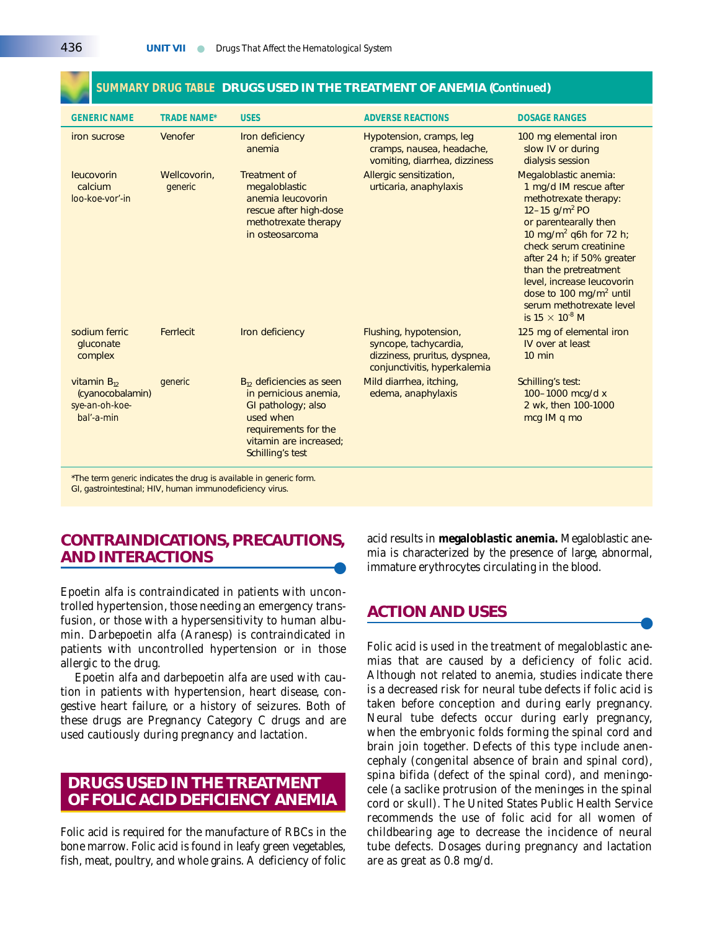| <b>GENERIC NAME</b>                                                     | <b>TRADE NAME*</b>      | <b>USES</b>                                                                                                                                                     | <b>ADVERSE REACTIONS</b>                                                                                         | <b>DOSAGE RANGES</b>                                                                                                                                                                                                                                                                                                                                                      |  |  |
|-------------------------------------------------------------------------|-------------------------|-----------------------------------------------------------------------------------------------------------------------------------------------------------------|------------------------------------------------------------------------------------------------------------------|---------------------------------------------------------------------------------------------------------------------------------------------------------------------------------------------------------------------------------------------------------------------------------------------------------------------------------------------------------------------------|--|--|
| iron sucrose                                                            | Venofer                 | Iron deficiency<br>anemia                                                                                                                                       | Hypotension, cramps, leg<br>cramps, nausea, headache,<br>vomiting, diarrhea, dizziness                           | 100 mg elemental iron<br>slow IV or during<br>dialysis session                                                                                                                                                                                                                                                                                                            |  |  |
| leucovorin<br>calcium<br>loo-koe-vor'-in                                | Wellcovorin.<br>generic | Treatment of<br>megaloblastic<br>anemia leucovorin<br>rescue after high-dose<br>methotrexate therapy<br>in osteosarcoma                                         | Allergic sensitization,<br>urticaria, anaphylaxis                                                                | Megaloblastic anemia:<br>1 mg/d IM rescue after<br>methotrexate therapy:<br>12-15 $g/m^2$ PO<br>or parentearally then<br>10 mg/m <sup>2</sup> q6h for 72 h;<br>check serum creatinine<br>after 24 h; if 50% greater<br>than the pretreatment<br>level, increase leucovorin<br>dose to 100 mg/m <sup>2</sup> until<br>serum methotrexate level<br>is $15 \times 10^{-8}$ M |  |  |
| sodium ferric<br>gluconate<br>complex                                   | <b>Ferrlecit</b>        | Iron deficiency                                                                                                                                                 | Flushing, hypotension,<br>syncope, tachycardia,<br>dizziness, pruritus, dyspnea,<br>conjunctivitis, hyperkalemia | 125 mg of elemental iron<br>IV over at least<br>$10 \text{ min}$                                                                                                                                                                                                                                                                                                          |  |  |
| vitamin $B_{12}$<br>(cyanocobalamin)<br>sye-an-oh-koe-<br>$bal'$ -a-min | generic                 | $B_{12}$ deficiencies as seen<br>in pernicious anemia,<br>GI pathology; also<br>used when<br>requirements for the<br>vitamin are increased:<br>Schilling's test | Mild diarrhea, itching,<br>edema, anaphylaxis                                                                    | Schilling's test:<br>100-1000 mcg/d x<br>2 wk, then 100-1000<br>mcg IM q mo                                                                                                                                                                                                                                                                                               |  |  |
| *The term generic indicates the drug is available in generic form.      |                         |                                                                                                                                                                 |                                                                                                                  |                                                                                                                                                                                                                                                                                                                                                                           |  |  |

#### **SUMMARY DRUG TABLE DRUGS USED IN THE TREATMENT OF ANEMIA (***Continued***)**

GI, gastrointestinal; HIV, human immunodeficiency virus.

## **CONTRAINDICATIONS, PRECAUTIONS, AND INTERACTIONS**

Epoetin alfa is contraindicated in patients with uncontrolled hypertension, those needing an emergency transfusion, or those with a hypersensitivity to human albumin. Darbepoetin alfa (Aranesp) is contraindicated in patients with uncontrolled hypertension or in those allergic to the drug.

Epoetin alfa and darbepoetin alfa are used with caution in patients with hypertension, heart disease, congestive heart failure, or a history of seizures. Both of these drugs are Pregnancy Category C drugs and are used cautiously during pregnancy and lactation.

## **DRUGS USED IN THE TREATMENT OF FOLIC ACID DEFICIENCY ANEMIA**

Folic acid is required for the manufacture of RBCs in the bone marrow. Folic acid is found in leafy green vegetables, fish, meat, poultry, and whole grains. A deficiency of folic acid results in **megaloblastic anemia.** Megaloblastic anemia is characterized by the presence of large, abnormal, immature erythrocytes circulating in the blood.

## **ACTION AND USES** ●

Folic acid is used in the treatment of megaloblastic anemias that are caused by a deficiency of folic acid. Although not related to anemia, studies indicate there is a decreased risk for neural tube defects if folic acid is taken before conception and during early pregnancy. Neural tube defects occur during early pregnancy, when the embryonic folds forming the spinal cord and brain join together. Defects of this type include anencephaly (congenital absence of brain and spinal cord), spina bifida (defect of the spinal cord), and meningocele (a saclike protrusion of the meninges in the spinal cord or skull). The United States Public Health Service recommends the use of folic acid for all women of childbearing age to decrease the incidence of neural tube defects. Dosages during pregnancy and lactation are as great as 0.8 mg/d.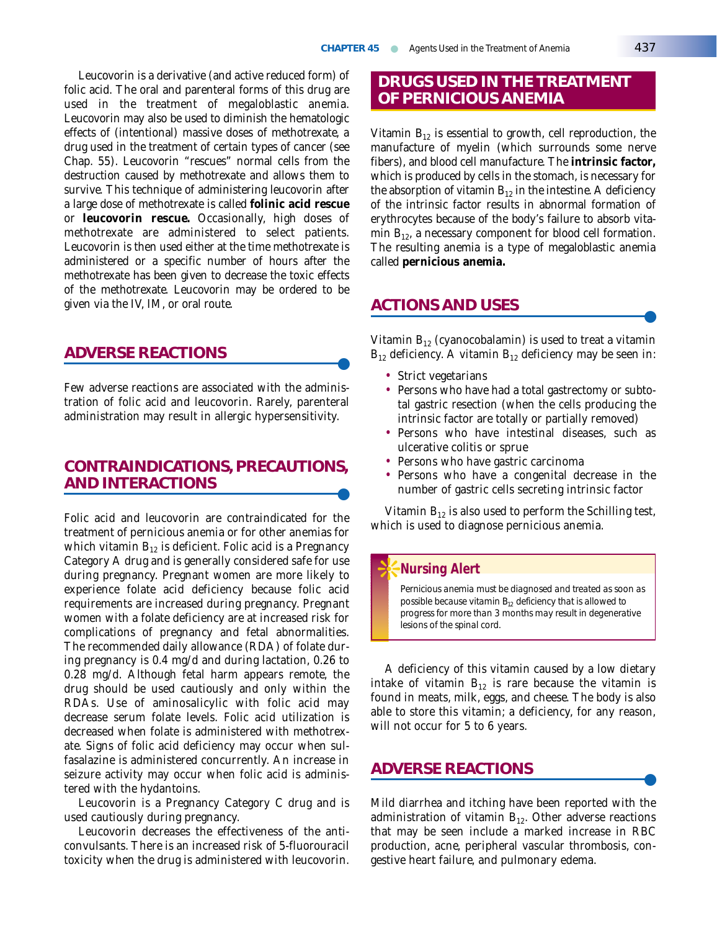Leucovorin is a derivative (and active reduced form) of folic acid. The oral and parenteral forms of this drug are used in the treatment of megaloblastic anemia. Leucovorin may also be used to diminish the hematologic effects of (intentional) massive doses of methotrexate, a drug used in the treatment of certain types of cancer (see Chap. 55). Leucovorin "rescues" normal cells from the destruction caused by methotrexate and allows them to survive. This technique of administering leucovorin after a large dose of methotrexate is called **folinic acid rescue** or **leucovorin rescue.** Occasionally, high doses of methotrexate are administered to select patients. Leucovorin is then used either at the time methotrexate is administered or a specific number of hours after the methotrexate has been given to decrease the toxic effects of the methotrexate. Leucovorin may be ordered to be given via the IV, IM, or oral route.

## **ADVERSE REACTIONS** ●

Few adverse reactions are associated with the administration of folic acid and leucovorin. Rarely, parenteral administration may result in allergic hypersensitivity.

## **CONTRAINDICATIONS, PRECAUTIONS, AND INTERACTIONS**

Folic acid and leucovorin are contraindicated for the treatment of pernicious anemia or for other anemias for which vitamin  $B_{12}$  is deficient. Folic acid is a Pregnancy Category A drug and is generally considered safe for use during pregnancy. Pregnant women are more likely to experience folate acid deficiency because folic acid requirements are increased during pregnancy. Pregnant women with a folate deficiency are at increased risk for complications of pregnancy and fetal abnormalities. The recommended daily allowance (RDA) of folate during pregnancy is 0.4 mg/d and during lactation, 0.26 to 0.28 mg/d. Although fetal harm appears remote, the drug should be used cautiously and only within the RDAs. Use of aminosalicylic with folic acid may decrease serum folate levels. Folic acid utilization is decreased when folate is administered with methotrexate. Signs of folic acid deficiency may occur when sulfasalazine is administered concurrently. An increase in seizure activity may occur when folic acid is administered with the hydantoins.

Leucovorin is a Pregnancy Category C drug and is used cautiously during pregnancy.

Leucovorin decreases the effectiveness of the anticonvulsants. There is an increased risk of 5-fluorouracil toxicity when the drug is administered with leucovorin.

## **DRUGS USED IN THE TREATMENT OF PERNICIOUS ANEMIA**

Vitamin  $B_{12}$  is essential to growth, cell reproduction, the manufacture of myelin (which surrounds some nerve fibers), and blood cell manufacture. The **intrinsic factor,** which is produced by cells in the stomach, is necessary for the absorption of vitamin  $B_{12}$  in the intestine. A deficiency of the intrinsic factor results in abnormal formation of erythrocytes because of the body's failure to absorb vitamin  $B_{12}$ , a necessary component for blood cell formation. The resulting anemia is a type of megaloblastic anemia called **pernicious anemia.**

## **ACTIONS AND USES**

Vitamin  $B_{12}$  (cyanocobalamin) is used to treat a vitamin  $B_{12}$  deficiency. A vitamin  $B_{12}$  deficiency may be seen in:

- Strict vegetarians
- Persons who have had a total gastrectomy or subtotal gastric resection (when the cells producing the intrinsic factor are totally or partially removed)
- Persons who have intestinal diseases, such as ulcerative colitis or sprue
- Persons who have gastric carcinoma
- Persons who have a congenital decrease in the number of gastric cells secreting intrinsic factor

Vitamin  $B_{12}$  is also used to perform the Schilling test, which is used to diagnose pernicious anemia.

#### ❊**Nursing Alert**

*Pernicious anemia must be diagnosed and treated as soon as possible because vitamin B12 deficiency that is allowed to progress for more than 3 months may result in degenerative lesions of the spinal cord.*

A deficiency of this vitamin caused by a low dietary intake of vitamin  $B_{12}$  is rare because the vitamin is found in meats, milk, eggs, and cheese. The body is also able to store this vitamin; a deficiency, for any reason, will not occur for 5 to 6 years.

## **ADVERSE REACTIONS** ●

Mild diarrhea and itching have been reported with the administration of vitamin  $B_{12}$ . Other adverse reactions that may be seen include a marked increase in RBC production, acne, peripheral vascular thrombosis, congestive heart failure, and pulmonary edema.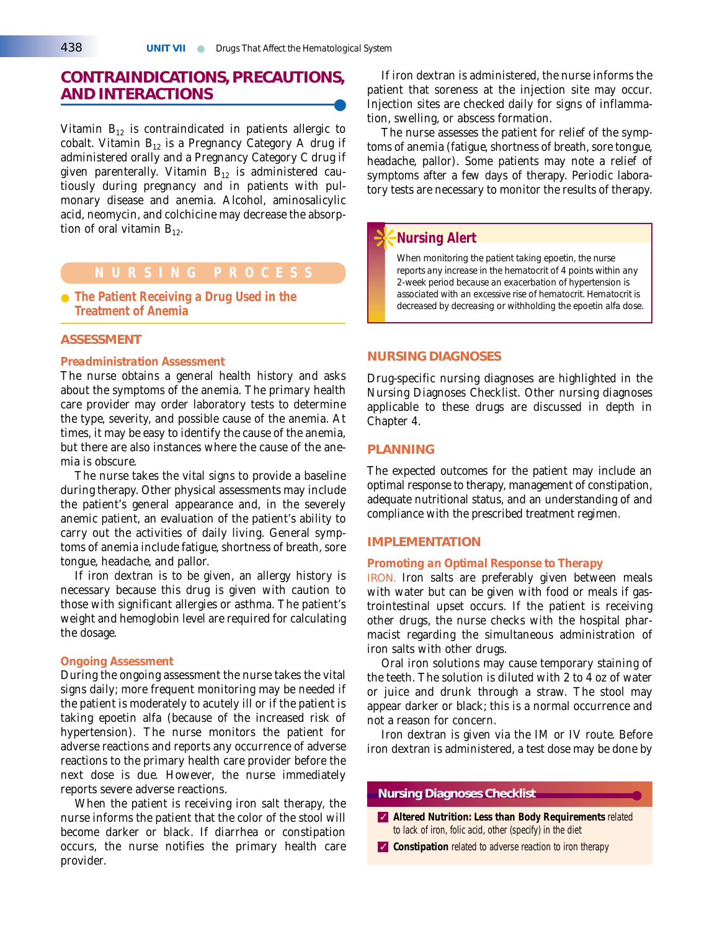## **CONTRAINDICATIONS, PRECAUTIONS, AND INTERACTIONS** ●

Vitamin  $B_{12}$  is contraindicated in patients allergic to cobalt. Vitamin  $B_{12}$  is a Pregnancy Category A drug if administered orally and a Pregnancy Category C drug if given parenterally. Vitamin  $B_{12}$  is administered cautiously during pregnancy and in patients with pulmonary disease and anemia. Alcohol, aminosalicylic acid, neomycin, and colchicine may decrease the absorption of oral vitamin  $B_{12}$ .

● **The Patient Receiving a Drug Used in the Treatment of Anemia**

#### **ASSESSMENT**

#### *Preadministration Assessment*

The nurse obtains a general health history and asks about the symptoms of the anemia. The primary health care provider may order laboratory tests to determine the type, severity, and possible cause of the anemia. At times, it may be easy to identify the cause of the anemia, but there are also instances where the cause of the anemia is obscure.

The nurse takes the vital signs to provide a baseline during therapy. Other physical assessments may include the patient's general appearance and, in the severely anemic patient, an evaluation of the patient's ability to carry out the activities of daily living. General symptoms of anemia include fatigue, shortness of breath, sore tongue, headache, and pallor.

If iron dextran is to be given, an allergy history is necessary because this drug is given with caution to those with significant allergies or asthma. The patient's weight and hemoglobin level are required for calculating the dosage.

#### *Ongoing Assessment*

During the ongoing assessment the nurse takes the vital signs daily; more frequent monitoring may be needed if the patient is moderately to acutely ill or if the patient is taking epoetin alfa (because of the increased risk of hypertension). The nurse monitors the patient for adverse reactions and reports any occurrence of adverse reactions to the primary health care provider before the next dose is due. However, the nurse immediately reports severe adverse reactions.

When the patient is receiving iron salt therapy, the nurse informs the patient that the color of the stool will become darker or black. If diarrhea or constipation occurs, the nurse notifies the primary health care provider.

If iron dextran is administered, the nurse informs the patient that soreness at the injection site may occur. Injection sites are checked daily for signs of inflammation, swelling, or abscess formation.

The nurse assesses the patient for relief of the symptoms of anemia (fatigue, shortness of breath, sore tongue, headache, pallor). Some patients may note a relief of symptoms after a few days of therapy. Periodic laboratory tests are necessary to monitor the results of therapy.

### ❊**Nursing Alert**

*When monitoring the patient taking epoetin, the nurse reports any increase in the hematocrit of 4 points within any 2-week period because an exacerbation of hypertension is associated with an excessive rise of hematocrit. Hematocrit is decreased by decreasing or withholding the epoetin alfa dose.*

#### **NURSING DIAGNOSES**

Drug-specific nursing diagnoses are highlighted in the Nursing Diagnoses Checklist. Other nursing diagnoses applicable to these drugs are discussed in depth in Chapter 4.

#### **PLANNING**

The expected outcomes for the patient may include an optimal response to therapy, management of constipation, adequate nutritional status, and an understanding of and compliance with the prescribed treatment regimen.

#### **IMPLEMENTATION**

#### *Promoting an Optimal Response to Therapy*

IRON. Iron salts are preferably given between meals with water but can be given with food or meals if gastrointestinal upset occurs. If the patient is receiving other drugs, the nurse checks with the hospital pharmacist regarding the simultaneous administration of iron salts with other drugs.

Oral iron solutions may cause temporary staining of the teeth. The solution is diluted with 2 to 4 oz of water or juice and drunk through a straw. The stool may appear darker or black; this is a normal occurrence and not a reason for concern.

Iron dextran is given via the IM or IV route. Before iron dextran is administered, a test dose may be done by

#### **Nursing Diagnoses Checklist**

- ✓ **Altered Nutrition: Less than Body Requirements** related to lack of iron, folic acid, other (specify) in the diet
- **✓ Constipation** related to adverse reaction to iron therapy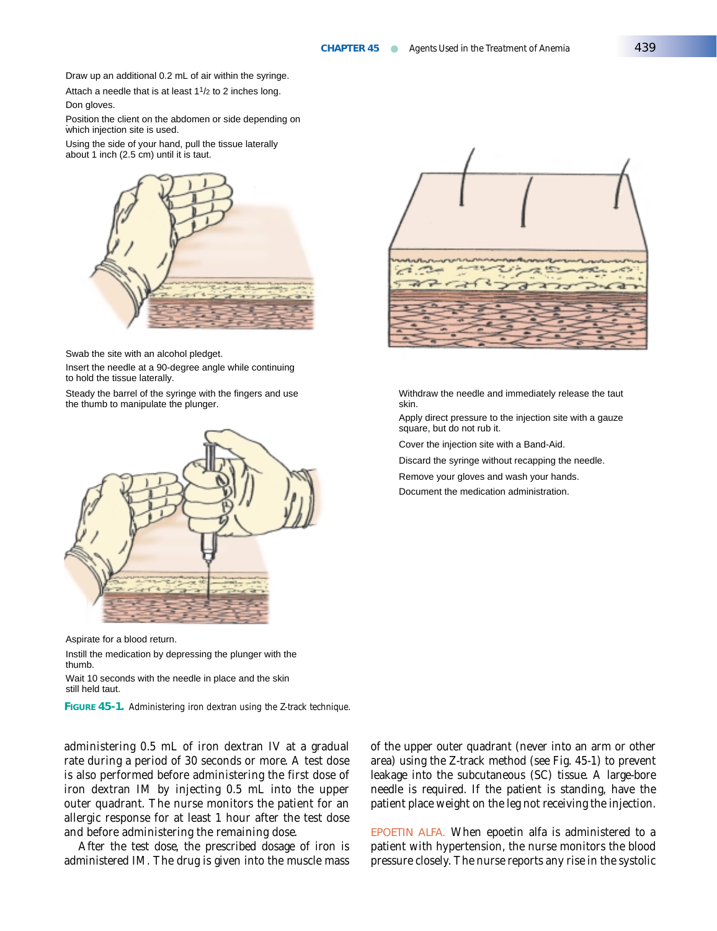Draw up an additional 0.2 mL of air within the syringe.

Attach a needle that is at least 11/2 to 2 inches long.

Don gloves.

Position the client on the abdomen or side depending on . which injection site is used.

Using the side of your hand, pull the tissue laterally about 1 inch (2.5 cm) until it is taut.



Swab the site with an alcohol pledget.

Insert the needle at a 90-degree angle while continuing to hold the tissue laterally.

Steady the barrel of the syringe with the fingers and use the thumb to manipulate the plunger.



Aspirate for a blood return.

Instill the medication by depressing the plunger with the thumb.

Wait 10 seconds with the needle in place and the skin still held taut.

**FIGURE 45-1.** Administering iron dextran using the Z-track technique.

administering 0.5 mL of iron dextran IV at a gradual rate during a period of 30 seconds or more. A test dose is also performed before administering the first dose of iron dextran IM by injecting 0.5 mL into the upper outer quadrant. The nurse monitors the patient for an allergic response for at least 1 hour after the test dose and before administering the remaining dose.

After the test dose, the prescribed dosage of iron is administered IM. The drug is given into the muscle mass of the upper outer quadrant (never into an arm or other area) using the Z-track method (see Fig. 45-1) to prevent leakage into the subcutaneous (SC) tissue. A large-bore needle is required. If the patient is standing, have the patient place weight on the leg not receiving the injection.

EPOETIN ALFA. When epoetin alfa is administered to a patient with hypertension, the nurse monitors the blood pressure closely. The nurse reports any rise in the systolic



Withdraw the needle and immediately release the taut skin.

Apply direct pressure to the injection site with a gauze square, but do not rub it.

Cover the injection site with a Band-Aid.

Discard the syringe without recapping the needle.

Remove your gloves and wash your hands.

Document the medication administration.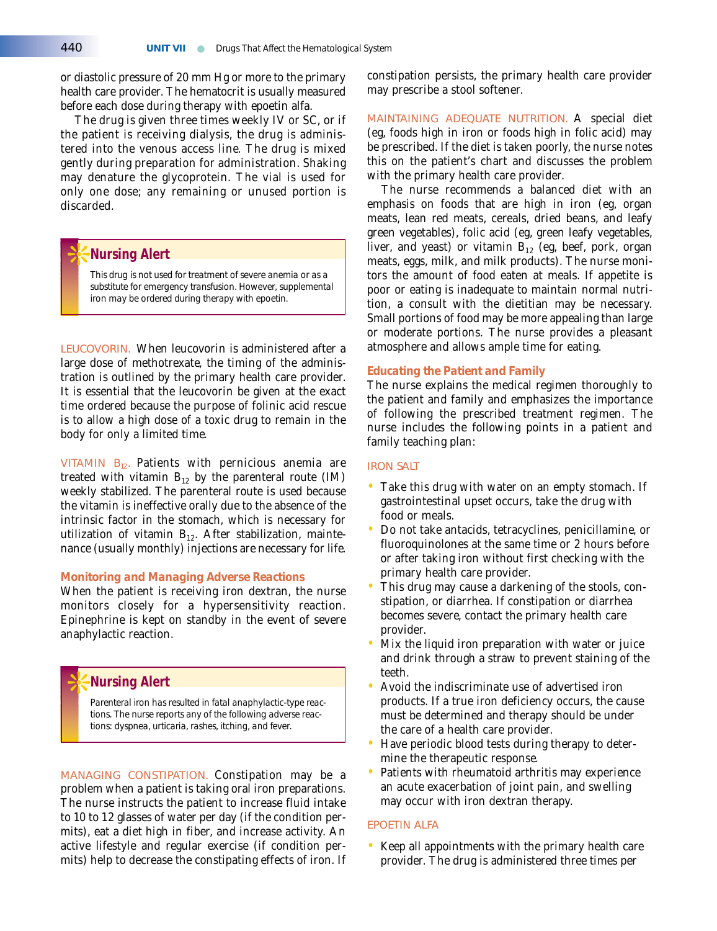or diastolic pressure of 20 mm Hg or more to the primary health care provider. The hematocrit is usually measured before each dose during therapy with epoetin alfa.

The drug is given three times weekly IV or SC, or if the patient is receiving dialysis, the drug is administered into the venous access line. The drug is mixed gently during preparation for administration. Shaking may denature the glycoprotein. The vial is used for only one dose; any remaining or unused portion is discarded.

#### ❊**Nursing Alert**

*This drug is not used for treatment of severe anemia or as a substitute for emergency transfusion. However, supplemental iron may be ordered during therapy with epoetin.*

LEUCOVORIN. When leucovorin is administered after a large dose of methotrexate, the timing of the administration is outlined by the primary health care provider. It is essential that the leucovorin be given at the exact time ordered because the purpose of folinic acid rescue is to allow a high dose of a toxic drug to remain in the body for only a limited time.

VITAMIN  $B_{12}$ . Patients with pernicious anemia are treated with vitamin  $B_{12}$  by the parenteral route (IM) weekly stabilized. The parenteral route is used because the vitamin is ineffective orally due to the absence of the intrinsic factor in the stomach, which is necessary for utilization of vitamin  $B_{12}$ . After stabilization, maintenance (usually monthly) injections are necessary for life.

#### *Monitoring and Managing Adverse Reactions*

When the patient is receiving iron dextran, the nurse monitors closely for a hypersensitivity reaction. Epinephrine is kept on standby in the event of severe anaphylactic reaction.

#### ❊**Nursing Alert**

*Parenteral iron has resulted in fatal anaphylactic-type reactions. The nurse reports any of the following adverse reactions: dyspnea, urticaria, rashes, itching, and fever.*

MANAGING CONSTIPATION. Constipation may be a problem when a patient is taking oral iron preparations. The nurse instructs the patient to increase fluid intake to 10 to 12 glasses of water per day (if the condition permits), eat a diet high in fiber, and increase activity. An active lifestyle and regular exercise (if condition permits) help to decrease the constipating effects of iron. If constipation persists, the primary health care provider may prescribe a stool softener.

MAINTAINING ADEQUATE NUTRITION. A special diet (eg, foods high in iron or foods high in folic acid) may be prescribed. If the diet is taken poorly, the nurse notes this on the patient's chart and discusses the problem with the primary health care provider.

The nurse recommends a balanced diet with an emphasis on foods that are high in iron (eg, organ meats, lean red meats, cereals, dried beans, and leafy green vegetables), folic acid (eg, green leafy vegetables, liver, and yeast) or vitamin  $B_{12}$  (eg, beef, pork, organ meats, eggs, milk, and milk products). The nurse monitors the amount of food eaten at meals. If appetite is poor or eating is inadequate to maintain normal nutrition, a consult with the dietitian may be necessary. Small portions of food may be more appealing than large or moderate portions. The nurse provides a pleasant atmosphere and allows ample time for eating.

#### *Educating the Patient and Family*

The nurse explains the medical regimen thoroughly to the patient and family and emphasizes the importance of following the prescribed treatment regimen. The nurse includes the following points in a patient and family teaching plan:

#### IRON SALT

- Take this drug with water on an empty stomach. If gastrointestinal upset occurs, take the drug with food or meals.
- Do not take antacids, tetracyclines, penicillamine, or fluoroquinolones at the same time or 2 hours before or after taking iron without first checking with the primary health care provider.
- This drug may cause a darkening of the stools, constipation, or diarrhea. If constipation or diarrhea becomes severe, contact the primary health care provider.
- Mix the liquid iron preparation with water or juice and drink through a straw to prevent staining of the teeth.
- Avoid the indiscriminate use of advertised iron products. If a true iron deficiency occurs, the cause must be determined and therapy should be under the care of a health care provider.
- Have periodic blood tests during therapy to determine the therapeutic response.
- Patients with rheumatoid arthritis may experience an acute exacerbation of joint pain, and swelling may occur with iron dextran therapy.

#### EPOETIN ALFA

• Keep all appointments with the primary health care provider. The drug is administered three times per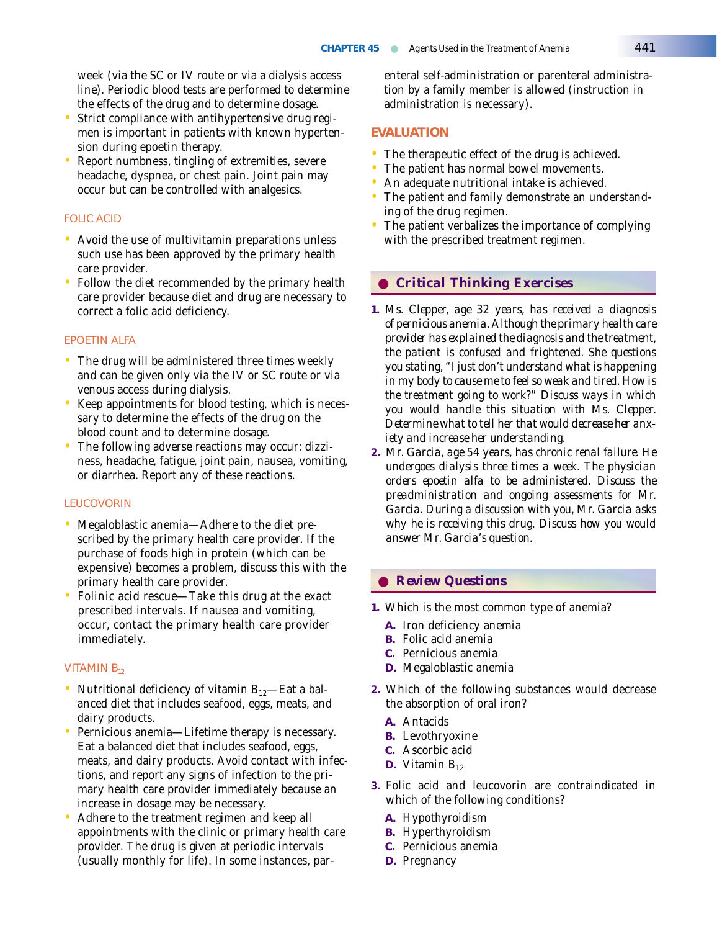week (via the SC or IV route or via a dialysis access line). Periodic blood tests are performed to determine the effects of the drug and to determine dosage.

- Strict compliance with antihypertensive drug regimen is important in patients with known hypertension during epoetin therapy.
- Report numbness, tingling of extremities, severe headache, dyspnea, or chest pain. Joint pain may occur but can be controlled with analgesics.

#### FOLIC ACID

- Avoid the use of multivitamin preparations unless such use has been approved by the primary health care provider.
- Follow the diet recommended by the primary health care provider because diet and drug are necessary to correct a folic acid deficiency.

#### EPOETIN ALFA

- The drug will be administered three times weekly and can be given only via the IV or SC route or via venous access during dialysis.
- Keep appointments for blood testing, which is necessary to determine the effects of the drug on the blood count and to determine dosage.
- The following adverse reactions may occur: dizziness, headache, fatigue, joint pain, nausea, vomiting, or diarrhea. Report any of these reactions.

#### **LEUCOVORIN**

- Megaloblastic anemia—Adhere to the diet prescribed by the primary health care provider. If the purchase of foods high in protein (which can be expensive) becomes a problem, discuss this with the primary health care provider.
- Folinic acid rescue—Take this drug at the exact prescribed intervals. If nausea and vomiting, occur, contact the primary health care provider immediately.

#### VITAMIN $B_{12}$

- Nutritional deficiency of vitamin  $B_{12}$ —Eat a balanced diet that includes seafood, eggs, meats, and dairy products.
- Pernicious anemia-Lifetime therapy is necessary. Eat a balanced diet that includes seafood, eggs, meats, and dairy products. Avoid contact with infections, and report any signs of infection to the primary health care provider immediately because an increase in dosage may be necessary.
- Adhere to the treatment regimen and keep all appointments with the clinic or primary health care provider. The drug is given at periodic intervals (usually monthly for life). In some instances, par-

enteral self-administration or parenteral administration by a family member is allowed (instruction in administration is necessary).

#### **EVALUATION**

- The therapeutic effect of the drug is achieved.
- The patient has normal bowel movements.
- An adequate nutritional intake is achieved.
- The patient and family demonstrate an understanding of the drug regimen.
- The patient verbalizes the importance of complying with the prescribed treatment regimen.

### ● *Critical Thinking Exercises*

- **1.** *Ms. Clepper, age 32 years, has received a diagnosis of pernicious anemia. Although the primary health care provider has explained the diagnosis and the treatment, the patient is confused and frightened. She questions you stating, "I just don't understand what is happening in my body to cause me to feel so weak and tired. How is the treatment going to work?" Discuss ways in which you would handle this situation with Ms. Clepper. Determine what to tell her that would decrease her anxiety and increase her understanding.*
- **2.** *Mr. Garcia, age 54 years, has chronic renal failure. He undergoes dialysis three times a week. The physician orders epoetin alfa to be administered. Discuss the preadministration and ongoing assessments for Mr. Garcia. During a discussion with you, Mr. Garcia asks why he is receiving this drug. Discuss how you would answer Mr. Garcia's question.*

#### ● *Review Questions*

- **1.** Which is the most common type of anemia?
	- **A.** Iron deficiency anemia
	- **B.** Folic acid anemia
	- **C.** Pernicious anemia
	- **D.** Megaloblastic anemia
- **2.** Which of the following substances would decrease the absorption of oral iron?
	- **A.** Antacids
	- **B.** Levothryoxine
	- **C.** Ascorbic acid
	- **D.** Vitamin  $B_{12}$
- **3.** Folic acid and leucovorin are contraindicated in which of the following conditions?
	- **A.** Hypothyroidism
	- **B.** Hyperthyroidism
	- **C.** Pernicious anemia
	- **D.** Pregnancy